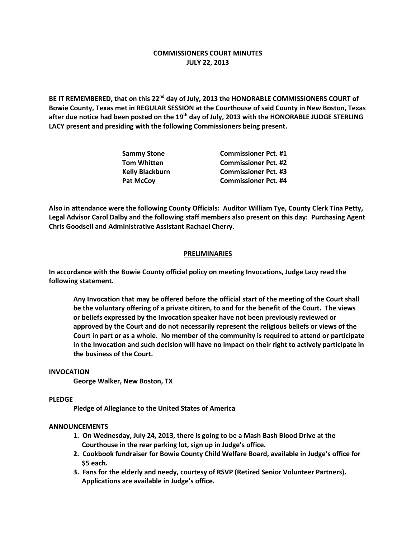# **COMMISSIONERS COURT MINUTES JULY 22, 2013**

**BE IT REMEMBERED, that on this 22nd day of July, 2013 the HONORABLE COMMISSIONERS COURT of Bowie County, Texas met in REGULAR SESSION at the Courthouse of said County in New Boston, Texas after due notice had been posted on the 19th day of July, 2013 with the HONORABLE JUDGE STERLING LACY present and presiding with the following Commissioners being present.**

| <b>Sammy Stone</b>     | <b>Commissioner Pct. #1</b> |
|------------------------|-----------------------------|
| <b>Tom Whitten</b>     | <b>Commissioner Pct. #2</b> |
| <b>Kelly Blackburn</b> | <b>Commissioner Pct. #3</b> |
| <b>Pat McCoy</b>       | <b>Commissioner Pct. #4</b> |

**Also in attendance were the following County Officials: Auditor William Tye, County Clerk Tina Petty, Legal Advisor Carol Dalby and the following staff members also present on this day: Purchasing Agent Chris Goodsell and Administrative Assistant Rachael Cherry.**

### **PRELIMINARIES**

**In accordance with the Bowie County official policy on meeting Invocations, Judge Lacy read the following statement.**

**Any Invocation that may be offered before the official start of the meeting of the Court shall be the voluntary offering of a private citizen, to and for the benefit of the Court. The views or beliefs expressed by the Invocation speaker have not been previously reviewed or approved by the Court and do not necessarily represent the religious beliefs or views of the Court in part or as a whole. No member of the community is required to attend or participate in the Invocation and such decision will have no impact on their right to actively participate in the business of the Court.**

### **INVOCATION**

**George Walker, New Boston, TX**

### **PLEDGE**

**Pledge of Allegiance to the United States of America**

### **ANNOUNCEMENTS**

- **1. On Wednesday, July 24, 2013, there is going to be a Mash Bash Blood Drive at the Courthouse in the rear parking lot, sign up in Judge's office.**
- **2. Cookbook fundraiser for Bowie County Child Welfare Board, available in Judge's office for \$5 each.**
- **3. Fans for the elderly and needy, courtesy of RSVP (Retired Senior Volunteer Partners). Applications are available in Judge's office.**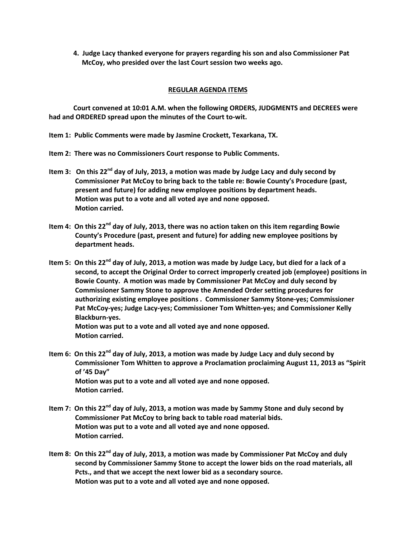**4. Judge Lacy thanked everyone for prayers regarding his son and also Commissioner Pat McCoy, who presided over the last Court session two weeks ago.**

## **REGULAR AGENDA ITEMS**

**Court convened at 10:01 A.M. when the following ORDERS, JUDGMENTS and DECREES were had and ORDERED spread upon the minutes of the Court to-wit.**

- **Item 1: Public Comments were made by Jasmine Crockett, Texarkana, TX.**
- **Item 2: There was no Commissioners Court response to Public Comments.**
- **Item 3: On this 22nd day of July, 2013, a motion was made by Judge Lacy and duly second by Commissioner Pat McCoy to bring back to the table re: Bowie County's Procedure (past, present and future) for adding new employee positions by department heads. Motion was put to a vote and all voted aye and none opposed. Motion carried.**
- **Item 4: On this 22nd day of July, 2013, there was no action taken on this item regarding Bowie County's Procedure (past, present and future) for adding new employee positions by department heads.**
- **Item 5: On this 22nd day of July, 2013, a motion was made by Judge Lacy, but died for a lack of a second, to accept the Original Order to correct improperly created job (employee) positions in Bowie County. A motion was made by Commissioner Pat McCoy and duly second by Commissioner Sammy Stone to approve the Amended Order setting procedures for authorizing existing employee positions . Commissioner Sammy Stone-yes; Commissioner Pat McCoy-yes; Judge Lacy-yes; Commissioner Tom Whitten-yes; and Commissioner Kelly Blackburn-yes.**

**Motion was put to a vote and all voted aye and none opposed. Motion carried.**

- **Item 6: On this 22nd day of July, 2013, a motion was made by Judge Lacy and duly second by Commissioner Tom Whitten to approve a Proclamation proclaiming August 11, 2013 as "Spirit of '45 Day" Motion was put to a vote and all voted aye and none opposed. Motion carried.**
- **Item 7: On this 22nd day of July, 2013, a motion was made by Sammy Stone and duly second by Commissioner Pat McCoy to bring back to table road material bids. Motion was put to a vote and all voted aye and none opposed. Motion carried.**
- **Item 8: On this 22nd day of July, 2013, a motion was made by Commissioner Pat McCoy and duly second by Commissioner Sammy Stone to accept the lower bids on the road materials, all Pcts., and that we accept the next lower bid as a secondary source. Motion was put to a vote and all voted aye and none opposed.**